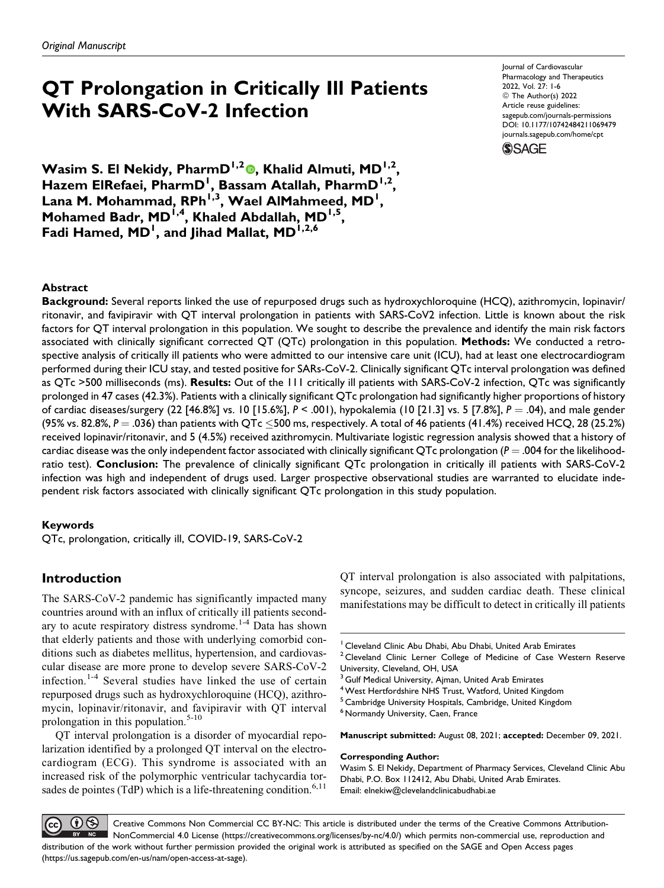# **QT Prolongation in Critically Ill Patients With SARS-CoV-2 Infection**

Journal of Cardiovascular Pharmacology and Therapeutics 2022, Vol. 27: 1-6 © The Author(s) 2022 Article reuse guidelines: [sagepub.com/journals-permissions](https://sagepub.com/journals-permissions) [DOI: 10.1177/10742484211069479](https://doi.org/10.1177/10742484211069479) [journals.sagepub.com/home/cpt](http://journals.sagepub.com/home/cpt)



**Wasim S. El Nekidy, PharmD1,2 [,](https://orcid.org/0000-0003-3109-0590) Khalid Almuti, MD1,2, Hazem ElRefaei, PharmD<sup>1</sup> , Bassam Atallah, PharmD1,2,** Lana M. Mohammad, RPh<sup>1,3</sup>, Wael AlMahmeed, MD<sup>1</sup>, **Mohamed Badr, MD1,4, Khaled Abdallah, MD1,5, Fadi Hamed, MD<sup>1</sup> , and Jihad Mallat, MD1,2,6**

# **Abstract**

**Background:** Several reports linked the use of repurposed drugs such as hydroxychloroquine (HCQ), azithromycin, lopinavir/ ritonavir, and favipiravir with QT interval prolongation in patients with SARS-CoV2 infection. Little is known about the risk factors for QT interval prolongation in this population. We sought to describe the prevalence and identify the main risk factors associated with clinically significant corrected QT (QTc) prolongation in this population. **Methods:** We conducted a retrospective analysis of critically ill patients who were admitted to our intensive care unit (ICU), had at least one electrocardiogram performed during their ICU stay, and tested positive for SARs-CoV-2. Clinically significant QTc interval prolongation was defined as QTc >500 milliseconds (ms). **Results:** Out of the 111 critically ill patients with SARS-CoV-2 infection, QTc was significantly prolonged in 47 cases (42.3%). Patients with a clinically significant QTc prolongation had significantly higher proportions of history of cardiac diseases/surgery (22 [46.8%] vs. 10 [15.6%], *P* < .001), hypokalemia (10 [21.3] vs. 5 [7.8%], *P* ¼ .04), and male gender (95% vs. 82.8%, *P* = .036) than patients with QTc  $\leq$ 500 ms, respectively. A total of 46 patients (41.4%) received HCQ, 28 (25.2%) received lopinavir/ritonavir, and 5 (4.5%) received azithromycin. Multivariate logistic regression analysis showed that a history of cardiac disease was the only independent factor associated with clinically significant QTc prolongation ( $P = .004$  for the likelihoodratio test). **Conclusion:** The prevalence of clinically significant QTc prolongation in critically ill patients with SARS-CoV-2 infection was high and independent of drugs used. Larger prospective observational studies are warranted to elucidate independent risk factors associated with clinically significant QTc prolongation in this study population.

## **Keywords**

QTc, prolongation, critically ill, COVID-19, SARS-CoV-2

# **Introduction**

The SARS-CoV-2 pandemic has significantly impacted many countries around with an influx of critically ill patients second-ary to acute respiratory distress syndrome.<sup>[1-4](#page-4-0)</sup> Data has shown that elderly patients and those with underlying comorbid conditions such as diabetes mellitus, hypertension, and cardiovascular disease are more prone to develop severe SARS-CoV-2 infection.<sup>[1-4](#page-4-0)</sup> Several studies have linked the use of certain repurposed drugs such as hydroxychloroquine (HCQ), azithromycin, lopinavir/ritonavir, and favipiravir with QT interval prolongation in this population.<sup>[5-10](#page-5-0)</sup>

QT interval prolongation is a disorder of myocardial repolarization identified by a prolonged QT interval on the electrocardiogram (ECG). This syndrome is associated with an increased risk of the polymorphic ventricular tachycardia tor-sades de pointes (TdP) which is a life-threatening condition.<sup>[6,11](#page-5-0)</sup>

QT interval prolongation is also associated with palpitations, syncope, seizures, and sudden cardiac death. These clinical manifestations may be difficult to detect in critically ill patients

**Manuscript submitted:** August 08, 2021; **accepted:** December 09, 2021.

#### **Corresponding Author:**

Wasim S. El Nekidy, Department of Pharmacy Services, Cleveland Clinic Abu Dhabi, P.O. Box 112412, Abu Dhabi, United Arab Emirates. Email: [elnekiw@clevelandclinicabudhabi.ae](mailto:elnekiw@clevelandclinicabudhabi.ae)

 $\mathbf{\Theta}^{(i)}$ Creative Commons Non Commercial CC BY-NC: This article is distributed under the terms of the Creative Commons Attribution-(cc) NonCommercial 4.0 License (<https://creativecommons.org/licenses/by-nc/4.0/>) which permits non-commercial use, reproduction and  $NC$ distribution of the work without further permission provided the original work is attributed as specified on the SAGE and Open Access pages [\(https://us.sagepub.com/en-us/nam/open-access-at-sage\)](https://us.sagepub.com/en-us/nam/open-access-at-sage).

<sup>&</sup>lt;sup>1</sup> Cleveland Clinic Abu Dhabi, Abu Dhabi, United Arab Emirates

 $2$  Cleveland Clinic Lerner College of Medicine of Case Western Reserve University, Cleveland, OH, USA

<sup>&</sup>lt;sup>3</sup> Gulf Medical University, Ajman, United Arab Emirates

<sup>&</sup>lt;sup>4</sup> West Hertfordshire NHS Trust, Watford, United Kingdom

<sup>5</sup> Cambridge University Hospitals, Cambridge, United Kingdom

<sup>&</sup>lt;sup>6</sup> Normandy University, Caen, France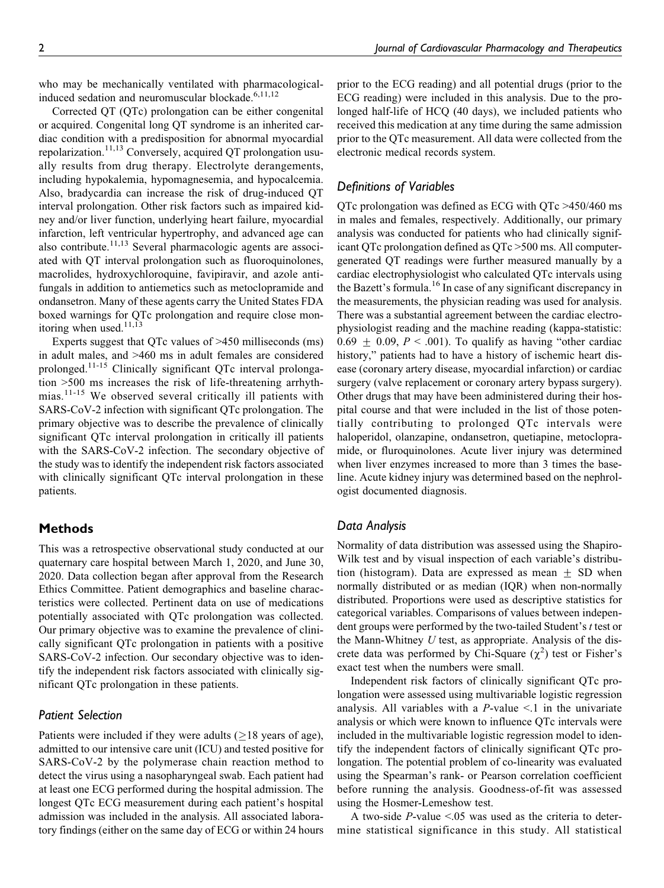who may be mechanically ventilated with pharmacologicalinduced sedation and neuromuscular blockade. $6,11,12$  $6,11,12$  $6,11,12$ 

Corrected QT (QTc) prolongation can be either congenital or acquired. Congenital long QT syndrome is an inherited cardiac condition with a predisposition for abnormal myocardial repolarization.<sup>[11,13](#page-5-0)</sup> Conversely, acquired QT prolongation usually results from drug therapy. Electrolyte derangements, including hypokalemia, hypomagnesemia, and hypocalcemia. Also, bradycardia can increase the risk of drug-induced QT interval prolongation. Other risk factors such as impaired kidney and/or liver function, underlying heart failure, myocardial infarction, left ventricular hypertrophy, and advanced age can also contribute.<sup>[11](#page-5-0),[13](#page-5-0)</sup> Several pharmacologic agents are associated with QT interval prolongation such as fluoroquinolones, macrolides, hydroxychloroquine, favipiravir, and azole antifungals in addition to antiemetics such as metoclopramide and ondansetron. Many of these agents carry the United States FDA boxed warnings for QTc prolongation and require close monitoring when used. $11,13$ 

Experts suggest that QTc values of >450 milliseconds (ms) in adult males, and >460 ms in adult females are considered prolonged.[11-15](#page-5-0) Clinically significant QTc interval prolongation >500 ms increases the risk of life-threatening arrhythmias.[11-15](#page-5-0) We observed several critically ill patients with SARS-CoV-2 infection with significant QTc prolongation. The primary objective was to describe the prevalence of clinically significant QTc interval prolongation in critically ill patients with the SARS-CoV-2 infection. The secondary objective of the study was to identify the independent risk factors associated with clinically significant QTc interval prolongation in these patients.

## **Methods**

This was a retrospective observational study conducted at our quaternary care hospital between March 1, 2020, and June 30, 2020. Data collection began after approval from the Research Ethics Committee. Patient demographics and baseline characteristics were collected. Pertinent data on use of medications potentially associated with QTc prolongation was collected. Our primary objective was to examine the prevalence of clinically significant QTc prolongation in patients with a positive SARS-CoV-2 infection. Our secondary objective was to identify the independent risk factors associated with clinically significant QTc prolongation in these patients.

## *Patient Selection*

Patients were included if they were adults  $(\geq 18$  years of age), admitted to our intensive care unit (ICU) and tested positive for SARS-CoV-2 by the polymerase chain reaction method to detect the virus using a nasopharyngeal swab. Each patient had at least one ECG performed during the hospital admission. The longest QTc ECG measurement during each patient's hospital admission was included in the analysis. All associated laboratory findings (either on the same day of ECG or within 24 hours prior to the ECG reading) and all potential drugs (prior to the ECG reading) were included in this analysis. Due to the prolonged half-life of HCQ (40 days), we included patients who received this medication at any time during the same admission prior to the QTc measurement. All data were collected from the electronic medical records system.

# *Definitions of Variables*

QTc prolongation was defined as ECG with QTc >450/460 ms in males and females, respectively. Additionally, our primary analysis was conducted for patients who had clinically significant QTc prolongation defined as QTc >500 ms. All computergenerated QT readings were further measured manually by a cardiac electrophysiologist who calculated QTc intervals using the Bazett's formula.<sup>16</sup> In case of any significant discrepancy in the measurements, the physician reading was used for analysis. There was a substantial agreement between the cardiac electrophysiologist reading and the machine reading (kappa-statistic:  $0.69 \pm 0.09$ ,  $P < .001$ ). To qualify as having "other cardiac history," patients had to have a history of ischemic heart disease (coronary artery disease, myocardial infarction) or cardiac surgery (valve replacement or coronary artery bypass surgery). Other drugs that may have been administered during their hospital course and that were included in the list of those potentially contributing to prolonged QTc intervals were haloperidol, olanzapine, ondansetron, quetiapine, metoclopramide, or fluroquinolones. Acute liver injury was determined when liver enzymes increased to more than 3 times the baseline. Acute kidney injury was determined based on the nephrologist documented diagnosis.

## *Data Analysis*

Normality of data distribution was assessed using the Shapiro-Wilk test and by visual inspection of each variable's distribution (histogram). Data are expressed as mean  $\pm$  SD when normally distributed or as median (IQR) when non-normally distributed. Proportions were used as descriptive statistics for categorical variables. Comparisons of values between independent groups were performed by the two-tailed Student's t test or the Mann-Whitney  $U$  test, as appropriate. Analysis of the discrete data was performed by Chi-Square  $(\chi^2)$  test or Fisher's exact test when the numbers were small.

Independent risk factors of clinically significant QTc prolongation were assessed using multivariable logistic regression analysis. All variables with a  $P$ -value <.1 in the univariate analysis or which were known to influence QTc intervals were included in the multivariable logistic regression model to identify the independent factors of clinically significant QTc prolongation. The potential problem of co-linearity was evaluated using the Spearman's rank- or Pearson correlation coefficient before running the analysis. Goodness-of-fit was assessed using the Hosmer-Lemeshow test.

A two-side  $P$ -value  $\leq 0.05$  was used as the criteria to determine statistical significance in this study. All statistical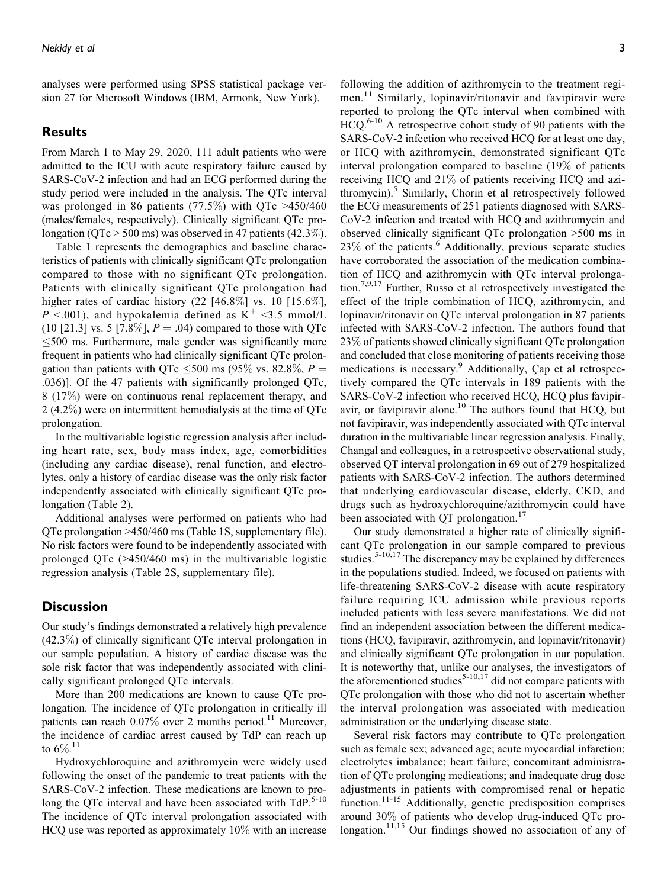analyses were performed using SPSS statistical package version 27 for Microsoft Windows (IBM, Armonk, New York).

# **Results**

From March 1 to May 29, 2020, 111 adult patients who were admitted to the ICU with acute respiratory failure caused by SARS-CoV-2 infection and had an ECG performed during the study period were included in the analysis. The QTc interval was prolonged in 86 patients (77.5%) with QTc  $>450/460$ (males/females, respectively). Clinically significant QTc prolongation ( $QTc > 500$  ms) was observed in 47 patients (42.3%).

[Table 1](#page-3-0) represents the demographics and baseline characteristics of patients with clinically significant QTc prolongation compared to those with no significant QTc prolongation. Patients with clinically significant QTc prolongation had higher rates of cardiac history  $(22 \, [46.8\%]$  vs. 10  $[15.6\%]$ ,  $P \leq 0.001$ , and hypokalemia defined as  $K^+ \leq 3.5$  mmol/L (10 [21.3] vs. 5 [7.8%],  $P = .04$ ) compared to those with QTc  $\leq$  500 ms. Furthermore, male gender was significantly more frequent in patients who had clinically significant QTc prolongation than patients with QTc  $\leq$ 500 ms (95% vs. 82.8%, P = .036)]. Of the 47 patients with significantly prolonged QTc, 8 (17%) were on continuous renal replacement therapy, and 2 (4.2%) were on intermittent hemodialysis at the time of QTc prolongation.

In the multivariable logistic regression analysis after including heart rate, sex, body mass index, age, comorbidities (including any cardiac disease), renal function, and electrolytes, only a history of cardiac disease was the only risk factor independently associated with clinically significant QTc prolongation ([Table 2\)](#page-4-0).

Additional analyses were performed on patients who had QTc prolongation >450/460 ms (Table 1S, supplementary file). No risk factors were found to be independently associated with prolonged QTc (>450/460 ms) in the multivariable logistic regression analysis (Table 2S, supplementary file).

# **Discussion**

Our study's findings demonstrated a relatively high prevalence (42.3%) of clinically significant QTc interval prolongation in our sample population. A history of cardiac disease was the sole risk factor that was independently associated with clinically significant prolonged QTc intervals.

More than 200 medications are known to cause QTc prolongation. The incidence of QTc prolongation in critically ill patients can reach  $0.07\%$  over 2 months period.<sup>11</sup> Moreover, the incidence of cardiac arrest caused by TdP can reach up to  $6\%$ <sup>[11](#page-5-0)</sup>

Hydroxychloroquine and azithromycin were widely used following the onset of the pandemic to treat patients with the SARS-CoV-2 infection. These medications are known to prolong the QTc interval and have been associated with  $TdP.5-10$  $TdP.5-10$ The incidence of QTc interval prolongation associated with HCQ use was reported as approximately 10% with an increase

following the addition of azithromycin to the treatment regi-men.<sup>[11](#page-5-0)</sup> Similarly, lopinavir/ritonavir and favipiravir were reported to prolong the QTc interval when combined with  $HCO<sup>6-10</sup>$  $HCO<sup>6-10</sup>$  $HCO<sup>6-10</sup>$  A retrospective cohort study of 90 patients with the SARS-CoV-2 infection who received HCQ for at least one day, or HCQ with azithromycin, demonstrated significant QTc interval prolongation compared to baseline (19% of patients receiving HCQ and 21% of patients receiving HCQ and azithromycin).<sup>5</sup> Similarly, Chorin et al retrospectively followed the ECG measurements of 251 patients diagnosed with SARS-CoV-2 infection and treated with HCQ and azithromycin and observed clinically significant QTc prolongation >500 ms in  $23\%$  of the patients.<sup>[6](#page-5-0)</sup> Additionally, previous separate studies have corroborated the association of the medication combination of HCQ and azithromycin with QTc interval prolongation.[7,9,17](#page-5-0) Further, Russo et al retrospectively investigated the effect of the triple combination of HCQ, azithromycin, and lopinavir/ritonavir on QTc interval prolongation in 87 patients infected with SARS-CoV-2 infection. The authors found that 23% of patients showed clinically significant QTc prolongation and concluded that close monitoring of patients receiving those medications is necessary.<sup>[9](#page-5-0)</sup> Additionally, Cap et al retrospectively compared the QTc intervals in 189 patients with the SARS-CoV-2 infection who received HCQ, HCQ plus favipiravir, or favipiravir alone.<sup>10</sup> The authors found that HCQ, but not favipiravir, was independently associated with QTc interval duration in the multivariable linear regression analysis. Finally, Changal and colleagues, in a retrospective observational study, observed QT interval prolongation in 69 out of 279 hospitalized patients with SARS-CoV-2 infection. The authors determined that underlying cardiovascular disease, elderly, CKD, and drugs such as hydroxychloroquine/azithromycin could have been associated with QT prolongation.<sup>[17](#page-5-0)</sup>

Our study demonstrated a higher rate of clinically significant QTc prolongation in our sample compared to previous studies.<sup>[5-10,17](#page-5-0)</sup> The discrepancy may be explained by differences in the populations studied. Indeed, we focused on patients with life-threatening SARS-CoV-2 disease with acute respiratory failure requiring ICU admission while previous reports included patients with less severe manifestations. We did not find an independent association between the different medications (HCQ, favipiravir, azithromycin, and lopinavir/ritonavir) and clinically significant QTc prolongation in our population. It is noteworthy that, unlike our analyses, the investigators of the aforementioned studies<sup>[5-10,17](#page-5-0)</sup> did not compare patients with QTc prolongation with those who did not to ascertain whether the interval prolongation was associated with medication administration or the underlying disease state.

Several risk factors may contribute to QTc prolongation such as female sex; advanced age; acute myocardial infarction; electrolytes imbalance; heart failure; concomitant administration of QTc prolonging medications; and inadequate drug dose adjustments in patients with compromised renal or hepatic function.<sup>[11-15](#page-5-0)</sup> Additionally, genetic predisposition comprises around 30% of patients who develop drug-induced QTc pro-longation.<sup>[11,15](#page-5-0)</sup> Our findings showed no association of any of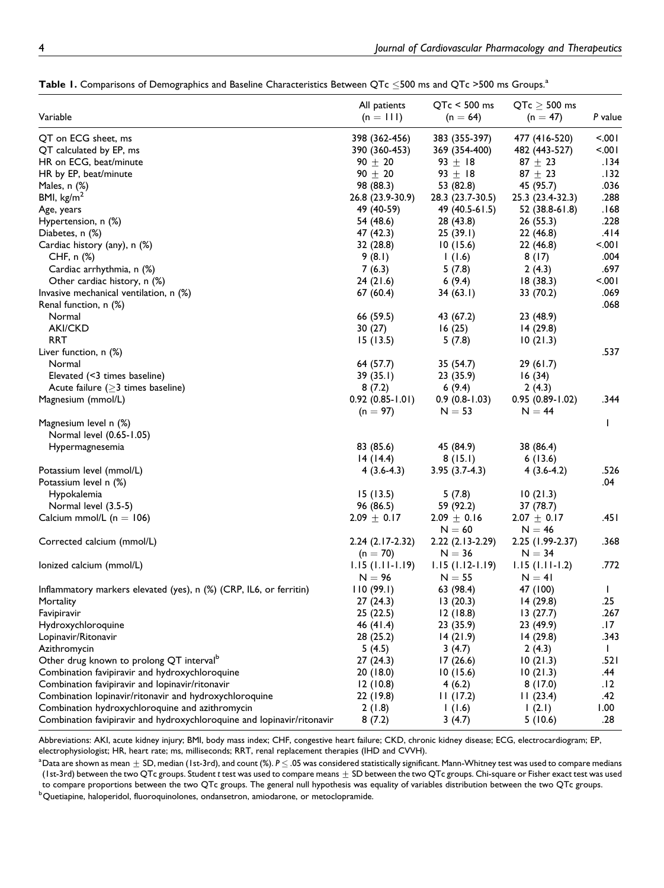| Variable                                                               | All patients        | $QTc < 500$ ms       | $QTc \geq 500$ ms   | P value      |
|------------------------------------------------------------------------|---------------------|----------------------|---------------------|--------------|
|                                                                        | $(n = 111)$         | $(n = 64)$           | $(n = 47)$          |              |
| QT on ECG sheet, ms                                                    | 398 (362-456)       | 383 (355-397)        | 477 (416-520)       | -.001        |
| QT calculated by EP, ms                                                | 390 (360-453)       | 369 (354-400)        | 482 (443-527)       | $500 -$      |
| HR on ECG, beat/minute                                                 | $90 \pm 20$         | $93 + 18$            | $87 + 23$           | .134         |
| HR by EP, beat/minute                                                  | $90 \pm 20$         | 93 $\pm$ 18          | 87 $\pm$ 23         | .132         |
| Males, $n$ $(\%)$                                                      | 98 (88.3)           | 53 (82.8)            | 45 (95.7)           | .036         |
| BMI, $\text{kg/m}^2$                                                   | 26.8 (23.9-30.9)    | 28.3 (23.7-30.5)     | 25.3 (23.4-32.3)    | .288         |
| Age, years                                                             | 49 (40-59)          | 49 (40.5-61.5)       | 52 (38.8-61.8)      | .168         |
| Hypertension, n (%)                                                    | 54 (48.6)           | 28 (43.8)            | 26 (55.3)           | .228         |
| Diabetes, n (%)                                                        | 47 (42.3)           | 25(39.1)             | 22 (46.8)           | .414         |
| Cardiac history (any), n (%)                                           | 32 (28.8)           | 10(15.6)             | 22(46.8)            | -.001        |
| CHF, $n$ $%$                                                           | 9(8.1)              | 1(1.6)               | 8(17)               | .004         |
| Cardiac arrhythmia, n (%)                                              | 7(6.3)              | 5(7.8)               | 2(4.3)              | .697         |
| Other cardiac history, n (%)                                           | 24(21.6)            | 6(9.4)               | 18(38.3)            | $500 -$      |
| Invasive mechanical ventilation, n (%)                                 | 67(60.4)            | 34(63.1)             | 33 (70.2)           | .069         |
| Renal function, n (%)                                                  |                     |                      |                     | .068         |
| Normal                                                                 |                     | 43 (67.2)            |                     |              |
| <b>AKI/CKD</b>                                                         | 66 (59.5)           |                      | 23 (48.9)           |              |
|                                                                        | 30(27)              | 16(25)               | 14 (29.8)           |              |
| <b>RRT</b>                                                             | 15(13.5)            | 5(7.8)               | 10(21.3)            |              |
| Liver function, n (%)                                                  |                     |                      |                     | .537         |
| Normal                                                                 | 64 (57.7)           | 35 (54.7)            | 29(61.7)            |              |
| Elevated (<3 times baseline)                                           | 39(35.1)            | 23 (35.9)            | 16(34)              |              |
| Acute failure $($ >3 times baseline)                                   | 8(7.2)              | 6(9.4)               | 2(4.3)              |              |
| Magnesium (mmol/L)                                                     | $0.92(0.85 - 1.01)$ | $0.9(0.8-1.03)$      | $0.95(0.89 - 1.02)$ | .344         |
|                                                                        | $(n = 97)$          | $N = 53$             | $N = 44$            |              |
| Magnesium level n (%)                                                  |                     |                      |                     | $\mathbf{I}$ |
| Normal level (0.65-1.05)                                               |                     |                      |                     |              |
| Hypermagnesemia                                                        | 83 (85.6)           | 45 (84.9)            | 38 (86.4)           |              |
|                                                                        | 14(14.4)            | 8(15.1)              | 6(13.6)             |              |
| Potassium level (mmol/L)                                               | $4(3.6-4.3)$        | $3.95(3.7-4.3)$      | $4(3.6-4.2)$        | .526         |
| Potassium level n (%)                                                  |                     |                      |                     | .04          |
| Hypokalemia                                                            | 15(13.5)            | 5(7.8)               | 10(21.3)            |              |
| Normal level (3.5-5)                                                   | 96 (86.5)           | 59 (92.2)            | 37 (78.7)           |              |
| Calcium mmol/L ( $n = 106$ )                                           | $2.09 \pm 0.17$     | $2.09 \pm 0.16$      | $2.07 \pm 0.17$     | ا 45.        |
|                                                                        |                     | $N = 60$             | $N = 46$            |              |
| Corrected calcium (mmol/L)                                             | $2.24(2.17-2.32)$   | $2.22$ $(2.13-2.29)$ | 2.25 (1.99-2.37)    | .368         |
|                                                                        | $(n = 70)$          | $N = 36$             | $N = 34$            |              |
| lonized calcium (mmol/L)                                               | $1.15(1.11-1.19)$   | $1.15(1.12-1.19)$    | $1.15(1.11-1.2)$    | .772         |
|                                                                        | $N = 96$            | $N = 55$             | $N = 41$            |              |
| Inflammatory markers elevated (yes), n (%) (CRP, IL6, or ferritin)     | 110(99.1)           | 63 (98.4)            | 47 (100)            | $\mathbf{I}$ |
| Mortality                                                              | 27(24.3)            | 13(20.3)             | 14 (29.8)           | .25          |
| Favipiravir                                                            | 25(22.5)            | 12(18.8)             | 13(27.7)            | .267         |
| Hydroxychloroquine                                                     | 46 (41.4)           | 23(35.9)             | 23 (49.9)           | .17          |
| Lopinavir/Ritonavir                                                    | 28 (25.2)           | 14(21.9)             | 14(29.8)            | .343         |
| Azithromycin                                                           | 5(4.5)              | 3(4.7)               | 2(4.3)              | $\mathbf{I}$ |
|                                                                        |                     |                      |                     |              |
| Other drug known to prolong QT interval <sup>b</sup>                   | 27(24.3)            | 17(26.6)             | 10(21.3)            | .521         |
| Combination favipiravir and hydroxychloroquine                         | 20(18.0)            | 10(15.6)             | 10(21.3)            | .44          |
| Combination favipiravir and lopinavir/ritonavir                        | 12(10.8)            | 4(6.2)               | 8(17.0)             | .12          |
| Combination lopinavir/ritonavir and hydroxychloroquine                 | 22 (19.8)           | 11(17.2)             | 11(23.4)            | .42          |
| Combination hydroxychloroquine and azithromycin                        | 2(1.8)              | 1(1.6)               | (2.1)               | 1.00         |
| Combination favipiravir and hydroxychloroquine and lopinavir/ritonavir | 8(7.2)              | 3(4.7)               | 5(10.6)             | .28          |

<span id="page-3-0"></span>**Table 1.** Comparisons of Demographics and Baseline Characteristics Between QTc  $\leq$ 500 ms and QTc >500 ms Groups.<sup>a</sup>

Abbreviations: AKI, acute kidney injury; BMI, body mass index; CHF, congestive heart failure; CKD, chronic kidney disease; ECG, electrocardiogram; EP, electrophysiologist; HR, heart rate; ms, milliseconds; RRT, renal replacement therapies (IHD and CVVH).

<sup>a</sup> Data are shown as mean  $\pm$  SD, median (1st-3rd), and count (%).  $P$   $\leq$  .05 was considered statistically significant. Mann-Whitney test was used to compare medians (1st-3rd) between the two QTc groups. Student *t* test was used to compare means  $\pm$  SD between the two QTc groups. Chi-square or Fisher exact test was used to compare proportions between the two QTc groups. The general null hypothesis was equality of variables distribution between the two QTc groups.

<sup>b</sup>Quetiapine, haloperidol, fluoroquinolones, ondansetron, amiodarone, or metoclopramide.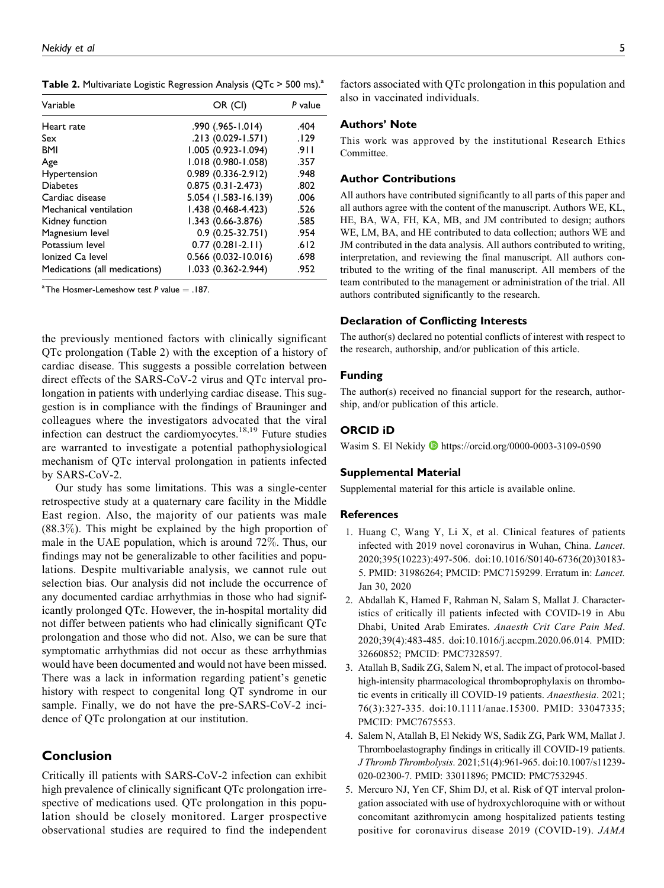<span id="page-4-0"></span>**Table 2.** Multivariate Logistic Regression Analysis (QTc > 500 ms).<sup>a</sup>

| Variable                      | OR (CI)                | P value |
|-------------------------------|------------------------|---------|
| Heart rate                    | .990 (.965-1.014)      | .404    |
| Sex                           | $.213(0.029 - 1.571)$  | .129    |
| <b>BMI</b>                    | 1.005 (0.923-1.094)    | .911    |
| Age                           | $1.018(0.980 - 1.058)$ | .357    |
| Hypertension                  | $0.989(0.336 - 2.912)$ | .948    |
| <b>Diabetes</b>               | $0.875(0.31 - 2.473)$  | .802    |
| Cardiac disease               | 5.054 (1.583-16.139)   | .006    |
| Mechanical ventilation        | $1.438(0.468 - 4.423)$ | .526    |
| Kidney function               | $1.343(0.66-3.876)$    | .585    |
| Magnesium level               | $0.9(0.25-32.751)$     | .954    |
| Potassium level               | $0.77(0.281 - 2.11)$   | .612    |
| Ionized Ca level              | $0.566$ (0.032-10.016) | .698    |
| Medications (all medications) | 1.033 (0.362-2.944)    | .952    |

 $^{\circ}$ The Hosmer-Lemeshow test *P* value  $=$  .187.

the previously mentioned factors with clinically significant QTc prolongation (Table 2) with the exception of a history of cardiac disease. This suggests a possible correlation between direct effects of the SARS-CoV-2 virus and QTc interval prolongation in patients with underlying cardiac disease. This suggestion is in compliance with the findings of Brauninger and colleagues where the investigators advocated that the viral infection can destruct the cardiomyocytes.<sup>18,19</sup> Future studies are warranted to investigate a potential pathophysiological mechanism of QTc interval prolongation in patients infected by SARS-CoV-2.

Our study has some limitations. This was a single-center retrospective study at a quaternary care facility in the Middle East region. Also, the majority of our patients was male (88.3%). This might be explained by the high proportion of male in the UAE population, which is around 72%. Thus, our findings may not be generalizable to other facilities and populations. Despite multivariable analysis, we cannot rule out selection bias. Our analysis did not include the occurrence of any documented cardiac arrhythmias in those who had significantly prolonged QTc. However, the in-hospital mortality did not differ between patients who had clinically significant QTc prolongation and those who did not. Also, we can be sure that symptomatic arrhythmias did not occur as these arrhythmias would have been documented and would not have been missed. There was a lack in information regarding patient's genetic history with respect to congenital long QT syndrome in our sample. Finally, we do not have the pre-SARS-CoV-2 incidence of QTc prolongation at our institution.

# **Conclusion**

Critically ill patients with SARS-CoV-2 infection can exhibit high prevalence of clinically significant QTc prolongation irrespective of medications used. QTc prolongation in this population should be closely monitored. Larger prospective observational studies are required to find the independent factors associated with QTc prolongation in this population and also in vaccinated individuals.

#### **Authors' Note**

This work was approved by the institutional Research Ethics Committee.

### **Author Contributions**

All authors have contributed significantly to all parts of this paper and all authors agree with the content of the manuscript. Authors WE, KL, HE, BA, WA, FH, KA, MB, and JM contributed to design; authors WE, LM, BA, and HE contributed to data collection; authors WE and JM contributed in the data analysis. All authors contributed to writing, interpretation, and reviewing the final manuscript. All authors contributed to the writing of the final manuscript. All members of the team contributed to the management or administration of the trial. All authors contributed significantly to the research.

#### **Declaration of Conflicting Interests**

The author(s) declared no potential conflicts of interest with respect to the research, authorship, and/or publication of this article.

#### **Funding**

The author(s) received no financial support for the research, authorship, and/or publication of this article.

## **ORCID iD**

Wasim S. El Nekidy **D** <https://orcid.org/0000-0003-3109-0590>

#### **Supplemental Material**

Supplemental material for this article is available online.

#### **References**

- 1. Huang C, Wang Y, Li X, et al. Clinical features of patients infected with 2019 novel coronavirus in Wuhan, China. Lancet. 2020;395(10223):497-506. doi:10.1016/S0140-6736(20)30183- 5. PMID: 31986264; PMCID: PMC7159299. Erratum in: Lancet. Jan 30, 2020
- 2. Abdallah K, Hamed F, Rahman N, Salam S, Mallat J. Characteristics of critically ill patients infected with COVID-19 in Abu Dhabi, United Arab Emirates. Anaesth Crit Care Pain Med. 2020;39(4):483-485. doi:10.1016/j.accpm.2020.06.014. PMID: 32660852; PMCID: PMC7328597.
- 3. Atallah B, Sadik ZG, Salem N, et al. The impact of protocol-based high-intensity pharmacological thromboprophylaxis on thrombotic events in critically ill COVID-19 patients. Anaesthesia. 2021; 76(3):327-335. doi:10.1111/anae.15300. PMID: 33047335; PMCID: PMC7675553.
- 4. Salem N, Atallah B, El Nekidy WS, Sadik ZG, Park WM, Mallat J. Thromboelastography findings in critically ill COVID-19 patients. J Thromb Thrombolysis. 2021;51(4):961-965. doi:10.1007/s11239- 020-02300-7. PMID: 33011896; PMCID: PMC7532945.
- 5. Mercuro NJ, Yen CF, Shim DJ, et al. Risk of QT interval prolongation associated with use of hydroxychloroquine with or without concomitant azithromycin among hospitalized patients testing positive for coronavirus disease 2019 (COVID-19). JAMA